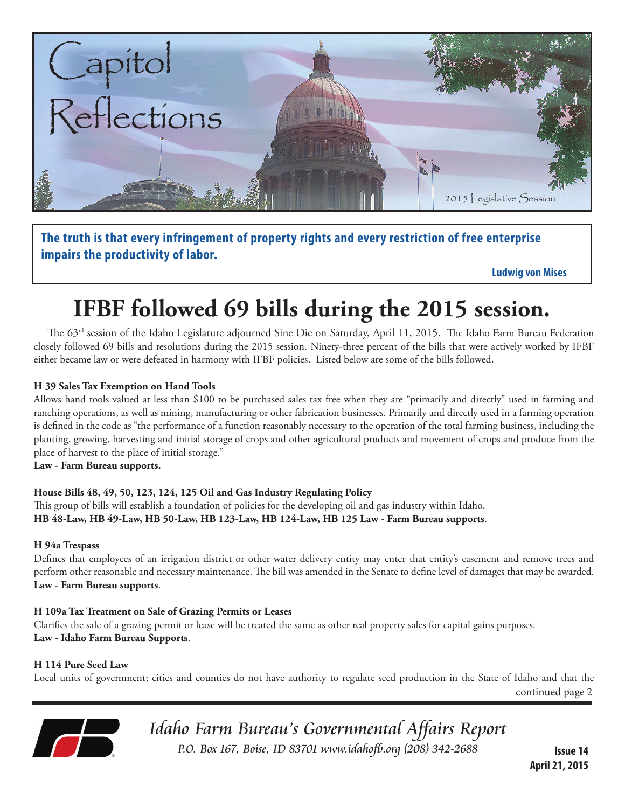

**The truth is that every infringement of property rights and every restriction of free enterprise impairs the productivity of labor.** 

 **Ludwig von Mises**

# **IFBF followed 69 bills during the 2015 session.**

The 63<sup>rd</sup> session of the Idaho Legislature adjourned Sine Die on Saturday, April 11, 2015. The Idaho Farm Bureau Federation closely followed 69 bills and resolutions during the 2015 session. Ninety-three percent of the bills that were actively worked by IFBF either became law or were defeated in harmony with IFBF policies. Listed below are some of the bills followed.

# **H 39 Sales Tax Exemption on Hand Tools**

Allows hand tools valued at less than \$100 to be purchased sales tax free when they are "primarily and directly" used in farming and ranching operations, as well as mining, manufacturing or other fabrication businesses. Primarily and directly used in a farming operation is defined in the code as "the performance of a function reasonably necessary to the operation of the total farming business, including the planting, growing, harvesting and initial storage of crops and other agricultural products and movement of crops and produce from the place of harvest to the place of initial storage."

**Law - Farm Bureau supports.**

**House Bills 48, 49, 50, 123, 124, 125 Oil and Gas Industry Regulating Policy**

This group of bills will establish a foundation of policies for the developing oil and gas industry within Idaho. **HB 48-Law, HB 49-Law, HB 50-Law, HB 123-Law, HB 124-Law, HB 125 Law - Farm Bureau supports**.

#### **H 94a Trespass**

Defines that employees of an irrigation district or other water delivery entity may enter that entity's easement and remove trees and perform other reasonable and necessary maintenance. The bill was amended in the Senate to define level of damages that may be awarded. **Law - Farm Bureau supports**.

#### **H 109a Tax Treatment on Sale of Grazing Permits or Leases**

Clarifies the sale of a grazing permit or lease will be treated the same as other real property sales for capital gains purposes. **Law - Idaho Farm Bureau Supports**.

**H 114 Pure Seed Law**

Local units of government; cities and counties do not have authority to regulate seed production in the State of Idaho and that the

continued page 2



Idaho Farm Bureau's Governmental Affairs Report P.O. Box 167, Boise, ID 83701 www.idahofb.org (208) 342-2688 **Issue 14**

**April 21, 2015**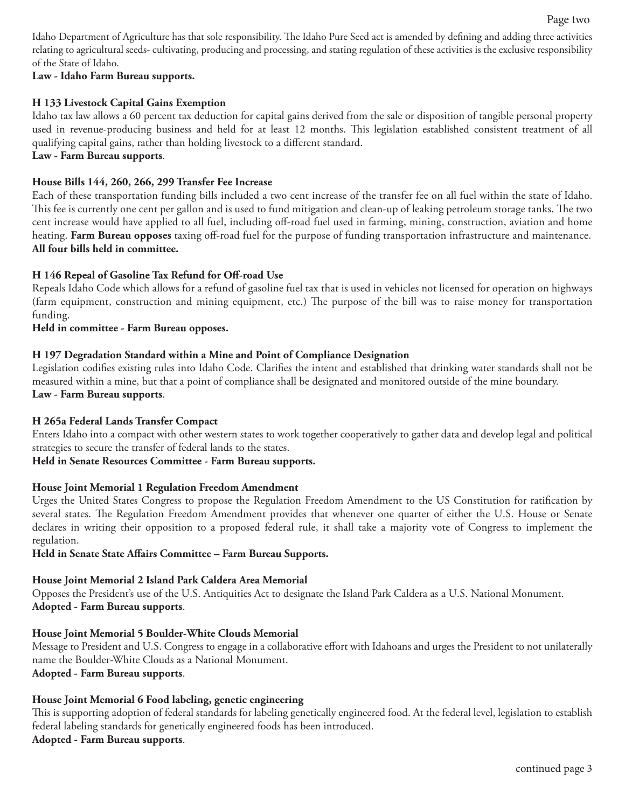Idaho Department of Agriculture has that sole responsibility. The Idaho Pure Seed act is amended by defining and adding three activities relating to agricultural seeds- cultivating, producing and processing, and stating regulation of these activities is the exclusive responsibility of the State of Idaho.

#### **Law - Idaho Farm Bureau supports.**

### **H 133 Livestock Capital Gains Exemption**

Idaho tax law allows a 60 percent tax deduction for capital gains derived from the sale or disposition of tangible personal property used in revenue-producing business and held for at least 12 months. This legislation established consistent treatment of all qualifying capital gains, rather than holding livestock to a different standard.

# **Law - Farm Bureau supports**.

## **House Bills 144, 260, 266, 299 Transfer Fee Increase**

Each of these transportation funding bills included a two cent increase of the transfer fee on all fuel within the state of Idaho. This fee is currently one cent per gallon and is used to fund mitigation and clean-up of leaking petroleum storage tanks. The two cent increase would have applied to all fuel, including off-road fuel used in farming, mining, construction, aviation and home heating. **Farm Bureau opposes** taxing off-road fuel for the purpose of funding transportation infrastructure and maintenance. **All four bills held in committee.**

# **H 146 Repeal of Gasoline Tax Refund for Off-road Use**

Repeals Idaho Code which allows for a refund of gasoline fuel tax that is used in vehicles not licensed for operation on highways (farm equipment, construction and mining equipment, etc.) The purpose of the bill was to raise money for transportation funding.

### **Held in committee - Farm Bureau opposes.**

### **H 197 Degradation Standard within a Mine and Point of Compliance Designation**

Legislation codifies existing rules into Idaho Code. Clarifies the intent and established that drinking water standards shall not be measured within a mine, but that a point of compliance shall be designated and monitored outside of the mine boundary. **Law - Farm Bureau supports**.

#### **H 265a Federal Lands Transfer Compact**

Enters Idaho into a compact with other western states to work together cooperatively to gather data and develop legal and political strategies to secure the transfer of federal lands to the states.

# **Held in Senate Resources Committee - Farm Bureau supports.**

#### **House Joint Memorial 1 Regulation Freedom Amendment**

Urges the United States Congress to propose the Regulation Freedom Amendment to the US Constitution for ratification by several states. The Regulation Freedom Amendment provides that whenever one quarter of either the U.S. House or Senate declares in writing their opposition to a proposed federal rule, it shall take a majority vote of Congress to implement the regulation.

#### **Held in Senate State Affairs Committee – Farm Bureau Supports.**

#### **House Joint Memorial 2 Island Park Caldera Area Memorial**

Opposes the President's use of the U.S. Antiquities Act to designate the Island Park Caldera as a U.S. National Monument. **Adopted - Farm Bureau supports**.

#### **House Joint Memorial 5 Boulder-White Clouds Memorial**

Message to President and U.S. Congress to engage in a collaborative effort with Idahoans and urges the President to not unilaterally name the Boulder-White Clouds as a National Monument. **Adopted - Farm Bureau supports**.

# **House Joint Memorial 6 Food labeling, genetic engineering**

This is supporting adoption of federal standards for labeling genetically engineered food. At the federal level, legislation to establish federal labeling standards for genetically engineered foods has been introduced. **Adopted - Farm Bureau supports**.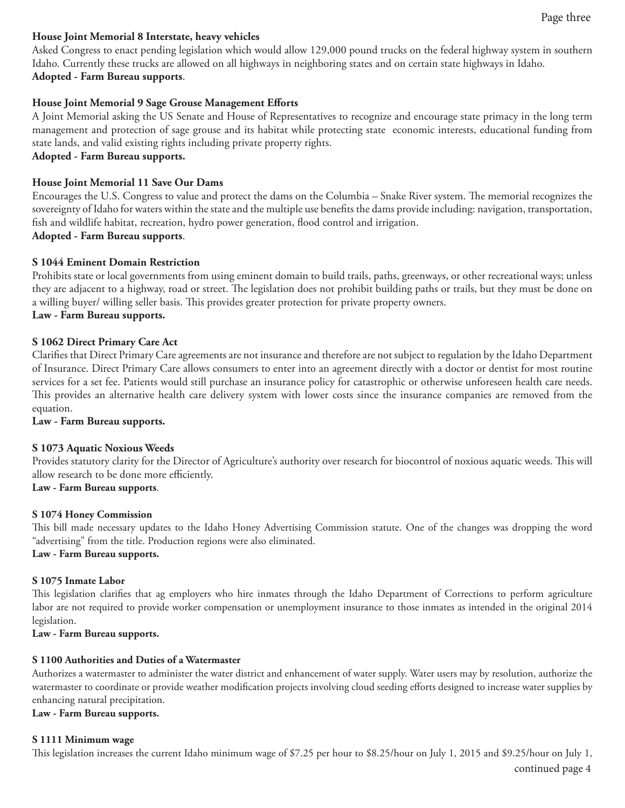#### **House Joint Memorial 8 Interstate, heavy vehicles**

Asked Congress to enact pending legislation which would allow 129,000 pound trucks on the federal highway system in southern Idaho. Currently these trucks are allowed on all highways in neighboring states and on certain state highways in Idaho. **Adopted - Farm Bureau supports**.

#### **House Joint Memorial 9 Sage Grouse Management Efforts**

A Joint Memorial asking the US Senate and House of Representatives to recognize and encourage state primacy in the long term management and protection of sage grouse and its habitat while protecting state economic interests, educational funding from state lands, and valid existing rights including private property rights.

#### **Adopted - Farm Bureau supports.**

#### **House Joint Memorial 11 Save Our Dams**

Encourages the U.S. Congress to value and protect the dams on the Columbia – Snake River system. The memorial recognizes the sovereignty of Idaho for waters within the state and the multiple use benefits the dams provide including: navigation, transportation, fish and wildlife habitat, recreation, hydro power generation, flood control and irrigation.

# **Adopted - Farm Bureau supports**.

# **S 1044 Eminent Domain Restriction**

Prohibits state or local governments from using eminent domain to build trails, paths, greenways, or other recreational ways; unless they are adjacent to a highway, road or street. The legislation does not prohibit building paths or trails, but they must be done on a willing buyer/ willing seller basis. This provides greater protection for private property owners.

#### **Law - Farm Bureau supports.**

#### **S 1062 Direct Primary Care Act**

Clarifies that Direct Primary Care agreements are not insurance and therefore are not subject to regulation by the Idaho Department of Insurance. Direct Primary Care allows consumers to enter into an agreement directly with a doctor or dentist for most routine services for a set fee. Patients would still purchase an insurance policy for catastrophic or otherwise unforeseen health care needs. This provides an alternative health care delivery system with lower costs since the insurance companies are removed from the equation.

#### **Law - Farm Bureau supports.**

#### **S 1073 Aquatic Noxious Weeds**

Provides statutory clarity for the Director of Agriculture's authority over research for biocontrol of noxious aquatic weeds. This will allow research to be done more efficiently.

#### **Law - Farm Bureau supports**.

#### **S 1074 Honey Commission**

This bill made necessary updates to the Idaho Honey Advertising Commission statute. One of the changes was dropping the word "advertising" from the title. Production regions were also eliminated.

#### **Law - Farm Bureau supports.**

#### **S 1075 Inmate Labor**

This legislation clarifies that ag employers who hire inmates through the Idaho Department of Corrections to perform agriculture labor are not required to provide worker compensation or unemployment insurance to those inmates as intended in the original 2014 legislation.

**Law - Farm Bureau supports.**

#### **S 1100 Authorities and Duties of a Watermaster**

Authorizes a watermaster to administer the water district and enhancement of water supply. Water users may by resolution, authorize the watermaster to coordinate or provide weather modification projects involving cloud seeding efforts designed to increase water supplies by enhancing natural precipitation.

#### **Law - Farm Bureau supports.**

#### **S 1111 Minimum wage**

This legislation increases the current Idaho minimum wage of \$7.25 per hour to \$8.25/hour on July 1, 2015 and \$9.25/hour on July 1,